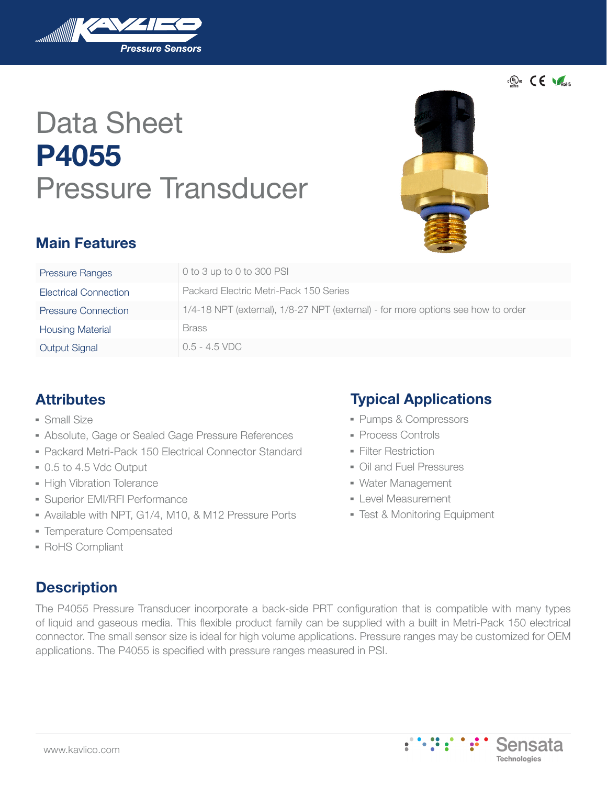

# Data Sheet **P4055** Pressure Transducer



 $\epsilon$ <sup>(ii)</sup>us  $\epsilon$   $\epsilon$ 

Sensata **Technologies** 

## **Main Features**

| <b>Pressure Ranges</b>     | 0 to 3 up to 0 to 300 PSI                                                        |
|----------------------------|----------------------------------------------------------------------------------|
| Electrical Connection      | Packard Electric Metri-Pack 150 Series                                           |
| <b>Pressure Connection</b> | 1/4-18 NPT (external), 1/8-27 NPT (external) - for more options see how to order |
| <b>Housing Material</b>    | <b>Brass</b>                                                                     |
| <b>Output Signal</b>       | $0.5 - 4.5$ VDC                                                                  |

## **Attributes**

- Small Size
- **Absolute, Gage or Sealed Gage Pressure References**
- Packard Metri-Pack 150 Electrical Connector Standard
- ▀ 0.5 to 4.5 Vdc Output
- **High Vibration Tolerance**
- **Superior EMI/RFI Performance**
- Available with NPT, G1/4, M10, & M12 Pressure Ports
- ▀ Temperature Compensated
- **RoHS Compliant**

## **Description**

The P4055 Pressure Transducer incorporate a back-side PRT configuration that is compatible with many types of liquid and gaseous media. This flexible product family can be supplied with a built in Metri-Pack 150 electrical connector. The small sensor size is ideal for high volume applications. Pressure ranges may be customized for OEM applications. The P4055 is specified with pressure ranges measured in PSI.

## **Typical Applications**

- ▀ Pumps & Compressors
- Process Controls
- **Filter Restriction**
- ▀ Oil and Fuel Pressures
- ▀ Water Management
- **E** Level Measurement
- ▀ Test & Monitoring Equipment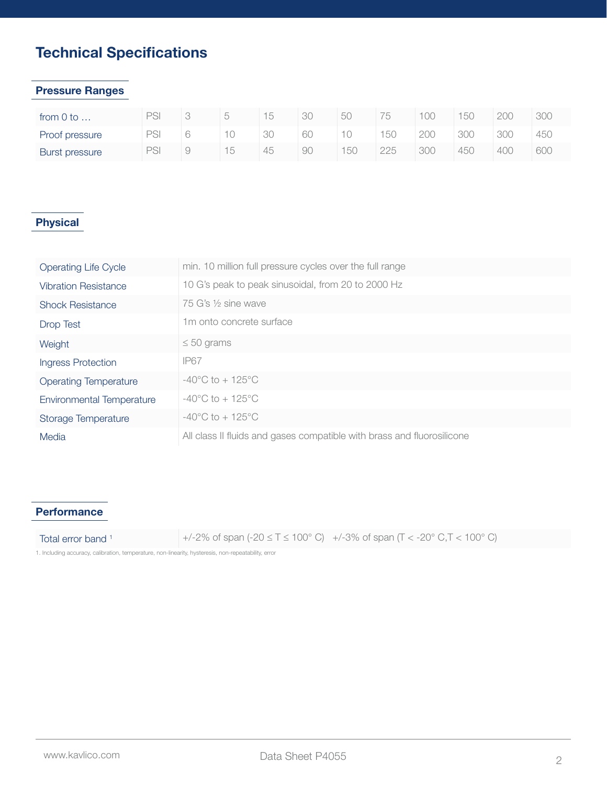## **Technical Specifications**

#### **Pressure Ranges**

| from 0 to      |    |  |    | ЗC | 50 | 75  | 100 | 150 | 200 | 30C |
|----------------|----|--|----|----|----|-----|-----|-----|-----|-----|
| Proof pressure | חר |  | 30 | 60 |    | 150 | 200 | 300 | 300 | 45C |
| Burst pressure | חר |  | 45 | 9C | 50 | 225 | 300 | 450 | 400 | 60C |

#### **Physical**

| <b>Operating Life Cycle</b>      | min. 10 million full pressure cycles over the full range               |
|----------------------------------|------------------------------------------------------------------------|
| <b>Vibration Resistance</b>      | 10 G's peak to peak sinusoidal, from 20 to 2000 Hz                     |
| <b>Shock Resistance</b>          | 75 G's $\frac{1}{2}$ sine wave                                         |
| <b>Drop Test</b>                 | 1 <sub>m</sub> onto concrete surface                                   |
| Weight                           | $\leq 50$ grams                                                        |
| <b>Ingress Protection</b>        | <b>IP67</b>                                                            |
| <b>Operating Temperature</b>     | $-40^{\circ}$ C to $+125^{\circ}$ C                                    |
| <b>Environmental Temperature</b> | $-40^{\circ}$ C to $+125^{\circ}$ C                                    |
| Storage Temperature              | $-40^{\circ}$ C to $+125^{\circ}$ C                                    |
| Media                            | All class II fluids and gases compatible with brass and fluorosilicone |

#### **Performance**

Total error band <sup>1</sup>  $+/-2\%$  of span  $(-20 \le T \le 100^{\circ}$  C)  $+/-3\%$  of span  $(T < -20^{\circ}$  C,  $T < 100^{\circ}$  C)

1. Including accuracy, calibration, temperature, non-linearity, hysteresis, non-repeatability, error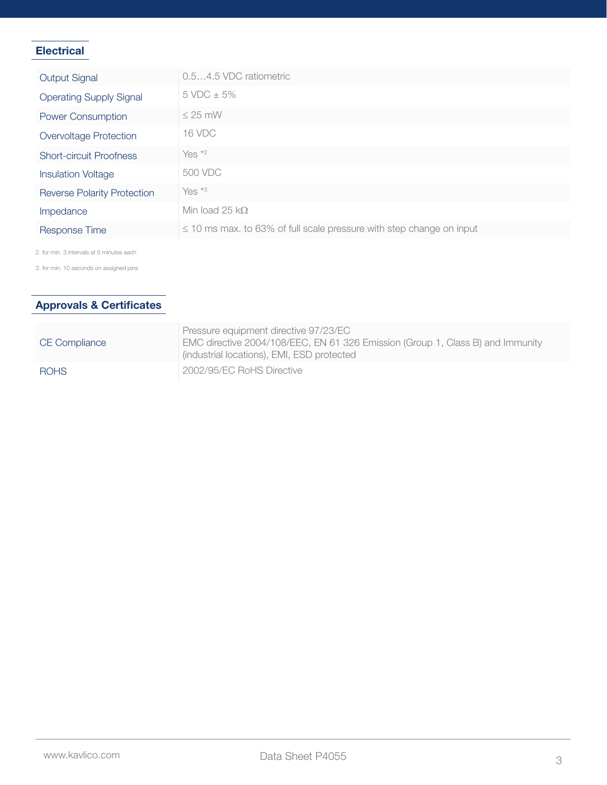#### **Electrical**

| <b>Output Signal</b>               | 0.54.5 VDC ratiometric                                                    |
|------------------------------------|---------------------------------------------------------------------------|
| <b>Operating Supply Signal</b>     | $5 \text{ VDC} \pm 5\%$                                                   |
| <b>Power Consumption</b>           | $\leq$ 25 mW                                                              |
| <b>Overvoltage Protection</b>      | <b>16 VDC</b>                                                             |
| <b>Short-circuit Proofness</b>     | Yes $*2$                                                                  |
| <b>Insulation Voltage</b>          | 500 VDC                                                                   |
| <b>Reverse Polarity Protection</b> | Yes $*3$                                                                  |
| Impedance                          | Min load 25 $k\Omega$                                                     |
| <b>Response Time</b>               | $\leq$ 10 ms max. to 63% of full scale pressure with step change on input |

2. for min. 3 intervals at 5 minutes each

3. for min. 10 seconds on assigned pins

#### **Approvals & Certificates**

| <b>CE Compliance</b> | Pressure equipment directive 97/23/EC<br>EMC directive 2004/108/EEC, EN 61 326 Emission (Group 1, Class B) and Immunity<br>(industrial locations), EMI, ESD protected |
|----------------------|-----------------------------------------------------------------------------------------------------------------------------------------------------------------------|
| <b>ROHS</b>          | 2002/95/EC RoHS Directive                                                                                                                                             |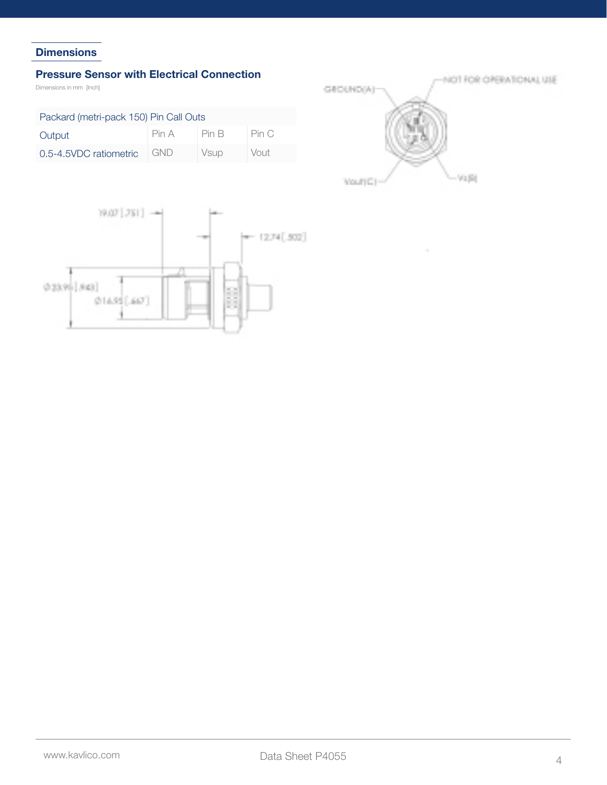#### **Dimensions**

#### **Pressure Sensor with Electrical Connection**

Dimensions in mm [Inch]

| Packard (metri-pack 150) Pin Call Outs |            |         |       |  |  |  |
|----------------------------------------|------------|---------|-------|--|--|--|
| Output                                 | Pin A      | I Pin B | Pin C |  |  |  |
| 0.5-4.5VDC ratiometric                 | <b>GND</b> | Vsup    | Vout  |  |  |  |



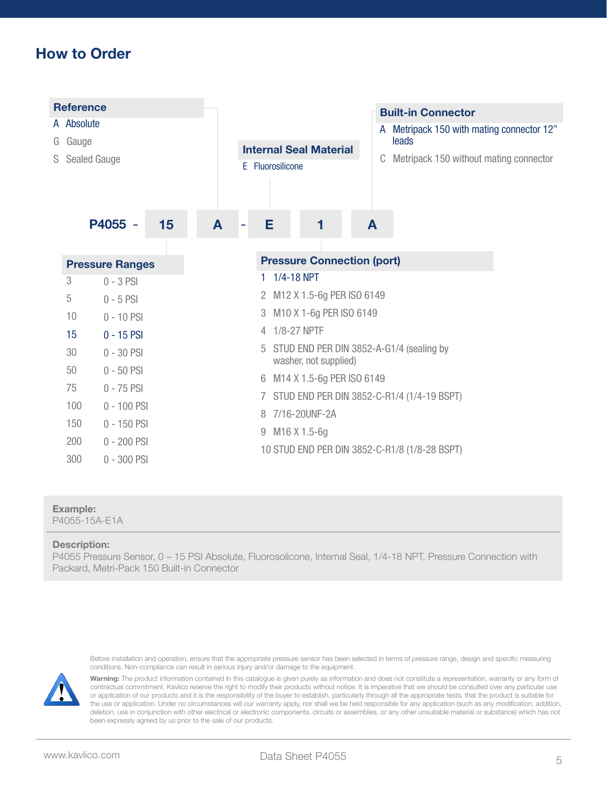## **How to Order**



#### **Example:**

P4055-15A-E1A

#### **Description:**

P4055 Pressure Sensor, 0 – 15 PSI Absolute, Fluorosolicone, Internal Seal, 1/4-18 NPT, Pressure Connection with Packard, Metri-Pack 150 Built-in Connector

Before installation and operation, ensure that the appropriate pressure sensor has been selected in terms of pressure range, design and specific measuring conditions. Non-compliance can result in serious injury and/or damage to the equipment.



**Warning:** The product information contained in this catalogue is given purely as information and does not constitute a representation, warranty or any form of contractual commitment. Kavlico reserve the right to modify their products without notice. It is imperative that we should be consulted over any particular use or application of our products and it is the responsibility of the buyer to establish, particularly through all the appropriate tests, that the product is suitable for the use or application. Under no circumstances will our warranty apply, nor shall we be held responsible for any application (such as any modification, addition, deletion, use in conjunction with other electrical or electronic components, circuits or assemblies, or any other unsuitable material or substance) which has not been expressly agreed by us prior to the sale of our products.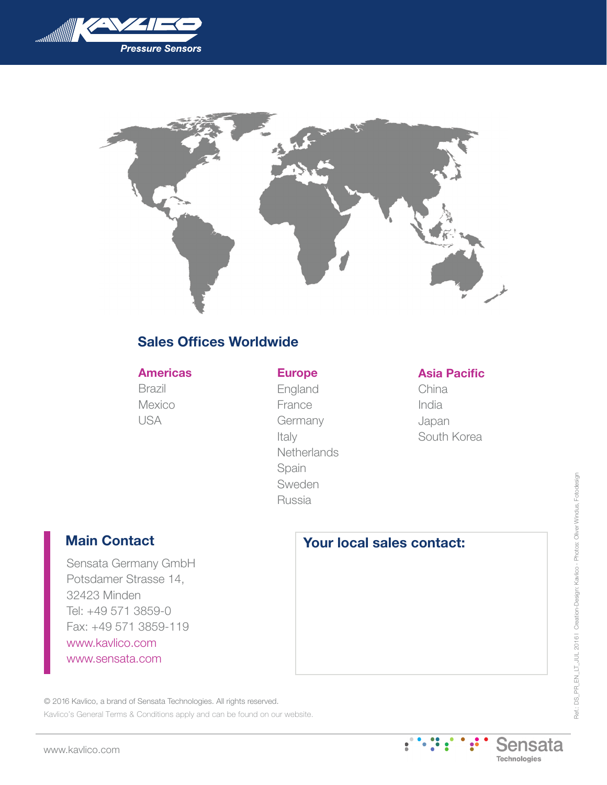



## **Sales Offices Worldwide**

#### **Americas**

Brazil Mexico USA

### **Europe**

England France Germany Italy **Netherlands** Spain Sweden Russia

#### **Asia Pacific**

China India Japan South Korea

## **Main Contact**

Sensata Germany GmbH Potsdamer Strasse 14, 32423 Minden Tel: +49 571 3859-0 Fax: +49 571 3859-119 www.kavlico.com www.sensata.com

## **Your local sales contact:**

© 2016 Kavlico, a brand of Sensata Technologies. All rights reserved.

Kavlico's General Terms & Conditions apply and can be found on our website.